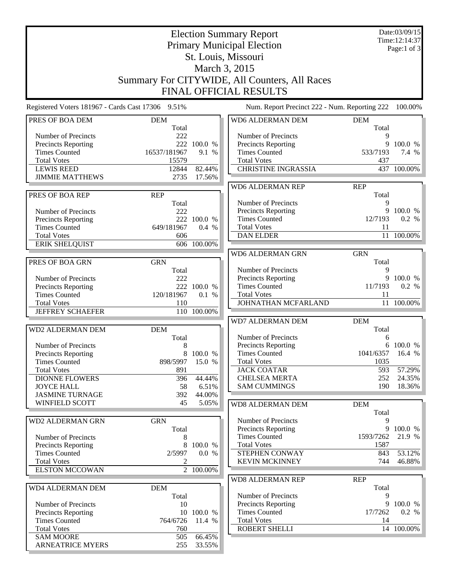| <b>Election Summary Report</b>                    |              |                      |                                                    |                  | Date:03/09/15<br>Time: 12:14:37 |  |  |  |
|---------------------------------------------------|--------------|----------------------|----------------------------------------------------|------------------|---------------------------------|--|--|--|
| <b>Primary Municipal Election</b>                 |              |                      |                                                    |                  | Page:1 of $3$                   |  |  |  |
| St. Louis, Missouri                               |              |                      |                                                    |                  |                                 |  |  |  |
| March 3, 2015                                     |              |                      |                                                    |                  |                                 |  |  |  |
| Summary For CITYWIDE, All Counters, All Races     |              |                      |                                                    |                  |                                 |  |  |  |
| <b>FINAL OFFICIAL RESULTS</b>                     |              |                      |                                                    |                  |                                 |  |  |  |
|                                                   |              |                      |                                                    |                  |                                 |  |  |  |
| Registered Voters 181967 - Cards Cast 17306 9.51% |              |                      | Num. Report Precinct 222 - Num. Reporting 222      |                  | 100.00%                         |  |  |  |
| PRES OF BOA DEM                                   | <b>DEM</b>   |                      | WD6 ALDERMAN DEM                                   | <b>DEM</b>       |                                 |  |  |  |
| Number of Precincts                               | Total<br>222 |                      | Number of Precincts                                | Total<br>9       |                                 |  |  |  |
| Precincts Reporting                               |              | 222 100.0 %          | <b>Precincts Reporting</b>                         |                  | 9 100.0 %                       |  |  |  |
| <b>Times Counted</b>                              | 16537/181967 | 9.1 %                | <b>Times Counted</b>                               | 533/7193         | 7.4 %                           |  |  |  |
| <b>Total Votes</b>                                | 15579        |                      | <b>Total Votes</b>                                 | 437              |                                 |  |  |  |
| <b>LEWIS REED</b>                                 | 12844        | 82.44%               | <b>CHRISTINE INGRASSIA</b>                         |                  | 437 100.00%                     |  |  |  |
| <b>JIMMIE MATTHEWS</b>                            | 2735         | 17.56%               |                                                    |                  |                                 |  |  |  |
|                                                   |              |                      | <b>WD6 ALDERMAN REP</b>                            | <b>REP</b>       |                                 |  |  |  |
| PRES OF BOA REP                                   | <b>REP</b>   |                      | Number of Precincts                                | Total<br>9       |                                 |  |  |  |
| Number of Precincts                               | Total<br>222 |                      | <b>Precincts Reporting</b>                         |                  | 9 100.0 %                       |  |  |  |
| Precincts Reporting                               |              | 222 100.0 %          | <b>Times Counted</b>                               | 12/7193          | 0.2 %                           |  |  |  |
| <b>Times Counted</b>                              | 649/181967   | 0.4 %                | <b>Total Votes</b>                                 | 11               |                                 |  |  |  |
| <b>Total Votes</b>                                | 606          |                      | <b>DAN ELDER</b>                                   |                  | 11 100.00%                      |  |  |  |
| <b>ERIK SHELQUIST</b>                             |              | 606 100.00%          |                                                    |                  |                                 |  |  |  |
|                                                   |              |                      | WD6 ALDERMAN GRN                                   | <b>GRN</b>       |                                 |  |  |  |
| PRES OF BOA GRN                                   | <b>GRN</b>   |                      |                                                    | Total            |                                 |  |  |  |
|                                                   | Total        |                      | Number of Precincts                                | 9<br>9           |                                 |  |  |  |
| Number of Precincts<br>Precincts Reporting        | 222          | 222 100.0 %          | <b>Precincts Reporting</b><br><b>Times Counted</b> | 11/7193          | 100.0 %<br>0.2 %                |  |  |  |
| <b>Times Counted</b>                              | 120/181967   | 0.1 %                | <b>Total Votes</b>                                 | 11               |                                 |  |  |  |
| <b>Total Votes</b>                                | 110          |                      | JOHNATHAN MCFARLAND                                |                  | 11 100.00%                      |  |  |  |
| <b>JEFFREY SCHAEFER</b>                           |              | 110 100.00%          |                                                    |                  |                                 |  |  |  |
|                                                   |              |                      | <b>WD7 ALDERMAN DEM</b>                            | <b>DEM</b>       |                                 |  |  |  |
| <b>WD2 ALDERMAN DEM</b>                           | <b>DEM</b>   |                      |                                                    | Total            |                                 |  |  |  |
|                                                   | Total        |                      | Number of Precincts                                | 6                |                                 |  |  |  |
| Number of Precincts                               | 8            | 8 100.0 %            | Precincts Reporting<br><b>Times Counted</b>        | 1041/6357 16.4 % | 6 100.0 %                       |  |  |  |
| Precincts Reporting<br><b>Times Counted</b>       | 898/5997     | 15.0 %               | <b>Total Votes</b>                                 | 1035             |                                 |  |  |  |
| <b>Total Votes</b>                                | 891          |                      | <b>JACK COATAR</b>                                 | 593              | 57.29%                          |  |  |  |
| <b>DIONNE FLOWERS</b>                             | 396          | 44.44%               | <b>CHELSEA MERTA</b>                               | 252              | 24.35%                          |  |  |  |
| <b>JOYCE HALL</b>                                 | 58           | 6.51%                | <b>SAM CUMMINGS</b>                                | 190              | 18.36%                          |  |  |  |
| <b>JASMINE TURNAGE</b>                            | 392          | 44.00%               |                                                    |                  |                                 |  |  |  |
| <b>WINFIELD SCOTT</b>                             | 45           | 5.05%                | WD8 ALDERMAN DEM                                   | <b>DEM</b>       |                                 |  |  |  |
|                                                   |              |                      |                                                    | Total            |                                 |  |  |  |
| <b>WD2 ALDERMAN GRN</b>                           | <b>GRN</b>   |                      | Number of Precincts                                | 9                |                                 |  |  |  |
| Number of Precincts                               | Total<br>8   |                      | Precincts Reporting<br><b>Times Counted</b>        | 1593/7262        | 9 100.0 %<br>21.9 %             |  |  |  |
| Precincts Reporting                               | 8            | 100.0 %              | <b>Total Votes</b>                                 | 1587             |                                 |  |  |  |
| <b>Times Counted</b>                              | 2/5997       | 0.0 %                | STEPHEN CONWAY                                     | 843              | 53.12%                          |  |  |  |
| <b>Total Votes</b>                                | 2            |                      | <b>KEVIN MCKINNEY</b>                              | 744              | 46.88%                          |  |  |  |
| <b>ELSTON MCCOWAN</b>                             |              | 2 100.00%            |                                                    |                  |                                 |  |  |  |
|                                                   |              |                      | <b>WD8 ALDERMAN REP</b>                            | <b>REP</b>       |                                 |  |  |  |
| WD4 ALDERMAN DEM                                  | <b>DEM</b>   |                      |                                                    | Total            |                                 |  |  |  |
|                                                   | Total        |                      | Number of Precincts                                | 9                |                                 |  |  |  |
| Number of Precincts                               | 10           |                      | Precincts Reporting<br><b>Times Counted</b>        | 17/7262          | 9 100.0 %<br>0.2 %              |  |  |  |
| Precincts Reporting<br><b>Times Counted</b>       | 764/6726     | 10 100.0 %<br>11.4 % | <b>Total Votes</b>                                 | 14               |                                 |  |  |  |
| <b>Total Votes</b>                                | 760          |                      | ROBERT SHELLI                                      |                  | 14 100.00%                      |  |  |  |
| <b>SAM MOORE</b>                                  | 505          | 66.45%               |                                                    |                  |                                 |  |  |  |
| <b>ARNEATRICE MYERS</b>                           | 255          | 33.55%               |                                                    |                  |                                 |  |  |  |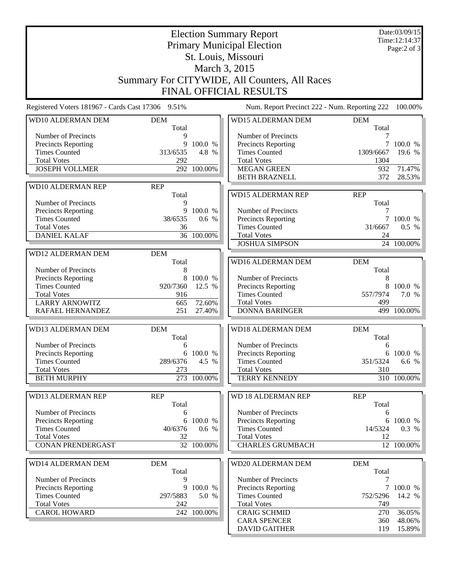|                                                   |                     | Date:03/09/15<br>Time: 12:14:37 |                                               |                     |                     |  |  |  |  |
|---------------------------------------------------|---------------------|---------------------------------|-----------------------------------------------|---------------------|---------------------|--|--|--|--|
|                                                   |                     | Page:2 of 3                     |                                               |                     |                     |  |  |  |  |
| St. Louis, Missouri                               |                     |                                 |                                               |                     |                     |  |  |  |  |
| March 3, 2015                                     |                     |                                 |                                               |                     |                     |  |  |  |  |
| Summary For CITYWIDE, All Counters, All Races     |                     |                                 |                                               |                     |                     |  |  |  |  |
| <b>FINAL OFFICIAL RESULTS</b>                     |                     |                                 |                                               |                     |                     |  |  |  |  |
| Registered Voters 181967 - Cards Cast 17306 9.51% |                     |                                 | Num. Report Precinct 222 - Num. Reporting 222 |                     | 100.00%             |  |  |  |  |
| WD10 ALDERMAN DEM                                 | <b>DEM</b><br>Total |                                 | <b>WD15 ALDERMAN DEM</b>                      | <b>DEM</b><br>Total |                     |  |  |  |  |
| Number of Precincts                               | 9                   |                                 | Number of Precincts                           | 7                   |                     |  |  |  |  |
| Precincts Reporting                               | 9                   | 100.0 %                         | Precincts Reporting                           | 7                   | 100.0 %             |  |  |  |  |
| <b>Times Counted</b>                              | 313/6535            | 4.8 %                           | <b>Times Counted</b>                          | 1309/6667           | 19.6 %              |  |  |  |  |
| <b>Total Votes</b>                                | 292                 |                                 | <b>Total Votes</b>                            | 1304<br>932         |                     |  |  |  |  |
| <b>JOSEPH VOLLMER</b>                             |                     | 292 100.00%                     | <b>MEGAN GREEN</b><br><b>BETH BRAZNELL</b>    | 372                 | 71.47%<br>28.53%    |  |  |  |  |
| WD10 ALDERMAN REP                                 | <b>REP</b>          |                                 |                                               |                     |                     |  |  |  |  |
|                                                   | Total               |                                 | <b>WD15 ALDERMAN REP</b>                      | <b>REP</b>          |                     |  |  |  |  |
| Number of Precincts                               | 9                   |                                 |                                               | Total               |                     |  |  |  |  |
| Precincts Reporting                               | 9                   | 100.0 %                         | Number of Precincts                           | 7                   |                     |  |  |  |  |
| <b>Times Counted</b>                              | 38/6535             | 0.6 %                           | Precincts Reporting                           |                     | 7 100.0 %           |  |  |  |  |
| <b>Total Votes</b><br><b>DANIEL KALAF</b>         | 36                  | 36 100.00%                      | <b>Times Counted</b><br><b>Total Votes</b>    | 31/6667<br>24       | 0.5 %               |  |  |  |  |
|                                                   |                     |                                 | <b>JOSHUA SIMPSON</b>                         |                     | 24 100.00%          |  |  |  |  |
| WD12 ALDERMAN DEM                                 | <b>DEM</b>          |                                 |                                               |                     |                     |  |  |  |  |
|                                                   | Total               |                                 | <b>WD16 ALDERMAN DEM</b>                      | <b>DEM</b>          |                     |  |  |  |  |
| Number of Precincts                               | 8                   |                                 |                                               | Total               |                     |  |  |  |  |
| Precincts Reporting                               | 8                   | 100.0 %                         | Number of Precincts                           | 8                   |                     |  |  |  |  |
| <b>Times Counted</b>                              | 920/7360            | 12.5 %                          | Precincts Reporting                           | 8                   | 100.0 %             |  |  |  |  |
| <b>Total Votes</b>                                | 916                 |                                 | <b>Times Counted</b>                          | 557/7974            | 7.0 %               |  |  |  |  |
| <b>LARRY ARNOWITZ</b>                             | 665                 | 72.60%                          | <b>Total Votes</b>                            | 499                 |                     |  |  |  |  |
| RAFAEL HERNANDEZ                                  | 251                 | 27.40%                          | <b>DONNA BARINGER</b>                         |                     | 499 100.00%         |  |  |  |  |
| WD13 ALDERMAN DEM                                 | <b>DEM</b><br>Total |                                 | WD18 ALDERMAN DEM                             | <b>DEM</b>          |                     |  |  |  |  |
| Number of Precincts                               | 6                   |                                 | Number of Precincts                           | Total<br>6          |                     |  |  |  |  |
| Precincts Reporting                               |                     | 6 100.0 %                       | Precincts Reporting                           |                     | 6 100.0 %           |  |  |  |  |
| <b>Times Counted</b>                              | 289/6376            | 4.5 %                           | <b>Times Counted</b>                          | 351/5324            | 6.6 %               |  |  |  |  |
| <b>Total Votes</b>                                | 273                 |                                 | <b>Total Votes</b>                            | 310                 |                     |  |  |  |  |
| <b>BETH MURPHY</b>                                |                     | 273 100.00%                     | <b>TERRY KENNEDY</b>                          |                     | 310 100.00%         |  |  |  |  |
| <b>WD13 ALDERMAN REP</b>                          | <b>REP</b>          |                                 | <b>WD 18 ALDERMAN REP</b>                     | <b>REP</b>          |                     |  |  |  |  |
|                                                   | Total               |                                 |                                               | Total               |                     |  |  |  |  |
| Number of Precincts                               | 6                   |                                 | Number of Precincts                           | 6                   |                     |  |  |  |  |
| <b>Precincts Reporting</b>                        | 6                   | 100.0 %                         | <b>Precincts Reporting</b>                    |                     | 6 100.0 %           |  |  |  |  |
| <b>Times Counted</b>                              | 40/6376             | 0.6 %                           | <b>Times Counted</b>                          | 14/5324             | 0.3 %               |  |  |  |  |
| <b>Total Votes</b>                                | 32                  |                                 | <b>Total Votes</b>                            | 12                  |                     |  |  |  |  |
| <b>CONAN PRENDERGAST</b>                          |                     | 32 100.00%                      | <b>CHARLES GRUMBACH</b>                       |                     | 12 100.00%          |  |  |  |  |
| WD14 ALDERMAN DEM                                 | <b>DEM</b>          |                                 | WD20 ALDERMAN DEM                             | <b>DEM</b>          |                     |  |  |  |  |
|                                                   | Total               |                                 |                                               | Total               |                     |  |  |  |  |
| Number of Precincts                               | 9                   |                                 | Number of Precincts                           | 7                   |                     |  |  |  |  |
| Precincts Reporting<br><b>Times Counted</b>       | 9<br>297/5883       | 100.0 %<br>5.0 %                | Precincts Reporting<br><b>Times Counted</b>   | 752/5296            | 7 100.0 %<br>14.2 % |  |  |  |  |
| <b>Total Votes</b>                                | 242                 |                                 | <b>Total Votes</b>                            | 749                 |                     |  |  |  |  |
| <b>CAROL HOWARD</b>                               |                     | 242 100.00%                     | <b>CRAIG SCHMID</b>                           | 270                 | 36.05%              |  |  |  |  |
|                                                   |                     |                                 | <b>CARA SPENCER</b>                           | 360                 | 48.06%              |  |  |  |  |
|                                                   |                     |                                 | <b>DAVID GAITHER</b>                          | 119                 | 15.89%              |  |  |  |  |